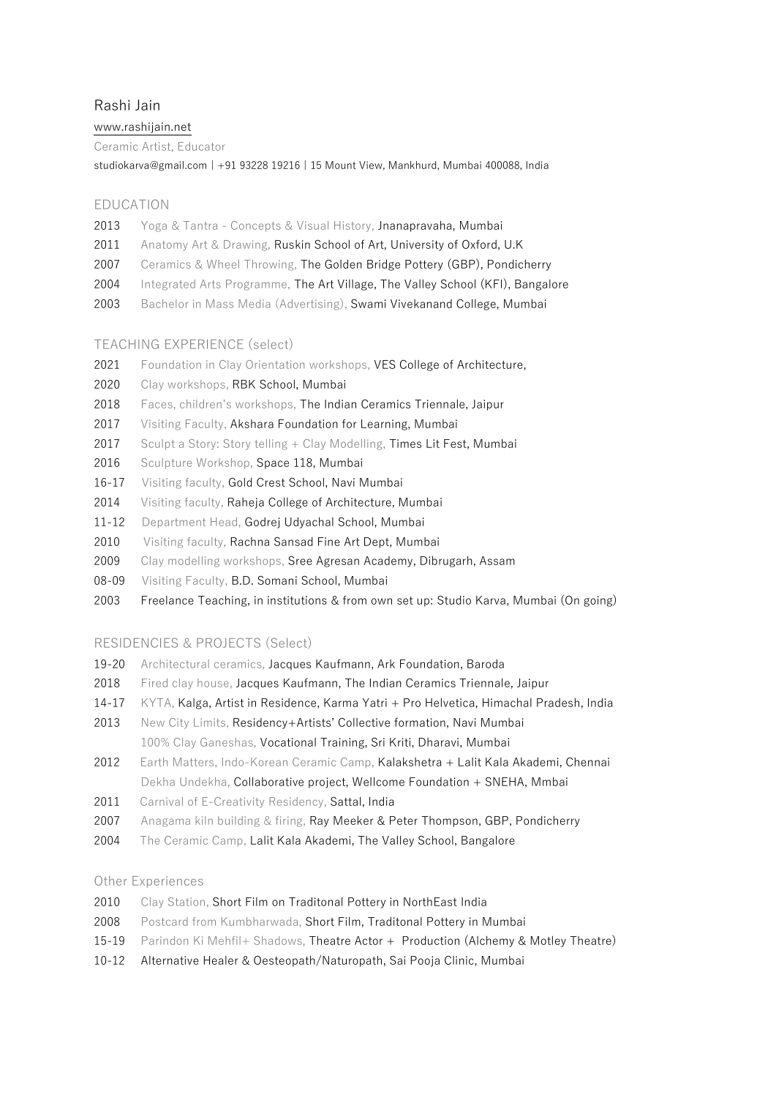# Rashi Jai[n](http://www.rashijain.net/)

### [www.rashijain.net](http://www.rashijain.net/)

Ceramic Artist, Educator

[studiokarva@gmail.com](mailto:studiokarva@gmail.com) | +91 93228 19216 | 15 Mount View, Mankhurd, Mumbai 400088, India

## EDUCATION

- 2013 Yoga & Tantra Concepts & Visual History, Jnanapravaha, Mumbai
- 2011 Anatomy Art & Drawing, Ruskin School of Art, University of Oxford, U.K
- 2007 Ceramics & Wheel Throwing, The Golden Bridge Pottery (GBP), Pondicherry
- 2004 Integrated Arts Programme, The Art Village, The Valley School (KFI), Bangalore
- 2003 Bachelor in Mass Media (Advertising), Swami Vivekanand College, Mumbai

## TEACHING EXPERIENCE (select)

- 2021 Foundation in Clay Orientation workshops, VES College of Architecture,
- 2020 Clay workshops, RBK School, Mumbai
- 2018 Faces, children's workshops, The Indian Ceramics Triennale, Jaipur
- 2017 Visiting Faculty, Akshara Foundation for Learning, Mumbai
- 2017 Sculpt a Story: Story telling + Clay Modelling, Times Lit Fest, Mumbai
- 2016 Sculpture Workshop, Space 118, Mumbai
- 16-17 Visiting faculty, Gold Crest School, Navi Mumbai
- 2014 Visiting faculty, Raheja College of Architecture, Mumbai
- 11-12 Department Head, Godrej Udyachal School, Mumbai
- 2010 Visiting faculty, Rachna Sansad Fine Art Dept, Mumbai
- 2009 Clay modelling workshops, Sree Agresan Academy, Dibrugarh, Assam
- 08-09 Visiting Faculty, B.D. Somani School, Mumbai
- 2003 Freelance Teaching, in institutions & from own set up: Studio Karva, Mumbai (On going)

## RESIDENCIES & PROJECTS (Select)

- 19-20 Architectural ceramics, Jacques Kaufmann, Ark Foundation, Baroda
- 2018 Fired clay house, Jacques Kaufmann, The Indian Ceramics Triennale, Jaipur
- 14-17 KYTA, Kalga, Artist in Residence, Karma Yatri + Pro Helvetica, Himachal Pradesh, India
- 2013 New City Limits, Residency+Artists' Collective formation, Navi Mumbai
- 100% Clay Ganeshas, Vocational Training, Sri Kriti, Dharavi, Mumbai
- 2012 Earth Matters, Indo-Korean Ceramic Camp, Kalakshetra + Lalit Kala Akademi, Chennai Dekha Undekha, Collaborative project, Wellcome Foundation + SNEHA, Mmbai
- 2011 Carnival of E-Creativity Residency, Sattal, India
- 2007 Anagama kiln building & firing, Ray Meeker & Peter Thompson, GBP, Pondicherry
- 2004 The Ceramic Camp, Lalit Kala Akademi, The Valley School, Bangalore

### Other Experiences

- 2010 Clay Station, Short Film on Traditonal Pottery in NorthEast India
- 2008 Postcard from Kumbharwada, Short Film, Traditonal Pottery in Mumbai
- 15-19 Parindon Ki Mehfil+ Shadows, Theatre Actor + Production (Alchemy & Motley Theatre)
- 10-12 Alternative Healer & Oesteopath/Naturopath, Sai Pooja Clinic, Mumbai